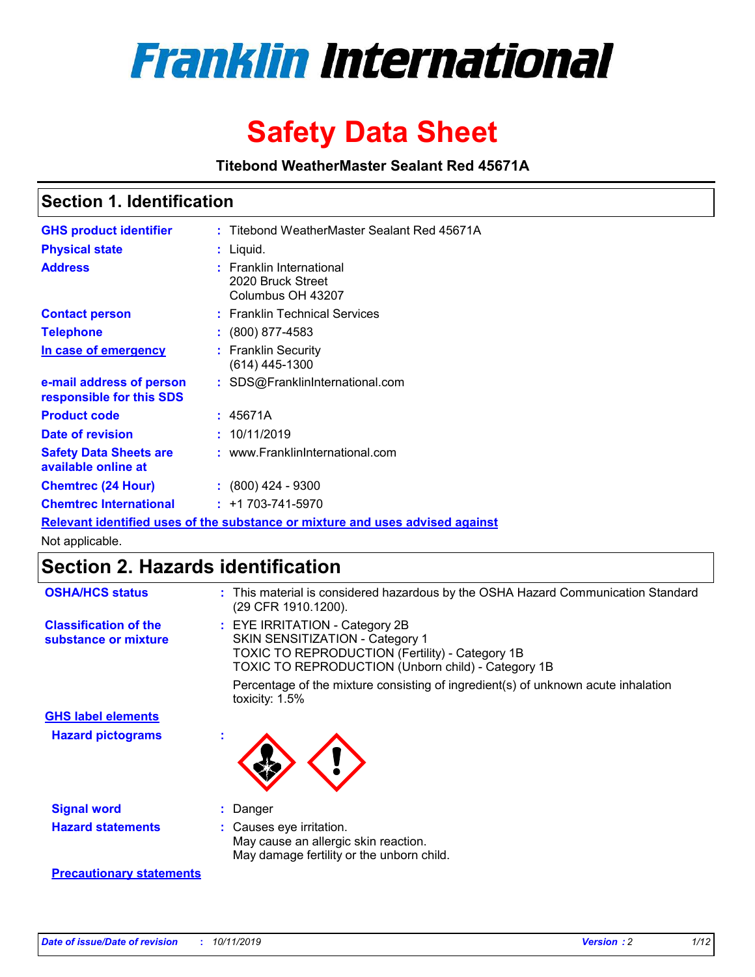

# **Safety Data Sheet**

**Titebond WeatherMaster Sealant Red 45671A**

### **Section 1. Identification**

| <b>GHS product identifier</b>                        | : Titebond WeatherMaster Sealant Red 45671A                                   |
|------------------------------------------------------|-------------------------------------------------------------------------------|
| <b>Physical state</b>                                | : Liquid.                                                                     |
| <b>Address</b>                                       | : Franklin International<br>2020 Bruck Street<br>Columbus OH 43207            |
| <b>Contact person</b>                                | : Franklin Technical Services                                                 |
| <b>Telephone</b>                                     | $\div$ (800) 877-4583                                                         |
| In case of emergency                                 | : Franklin Security<br>(614) 445-1300                                         |
| e-mail address of person<br>responsible for this SDS | : SDS@FranklinInternational.com                                               |
| <b>Product code</b>                                  | : 45671A                                                                      |
| Date of revision                                     | : 10/11/2019                                                                  |
| <b>Safety Data Sheets are</b><br>available online at | : www.FranklinInternational.com                                               |
| <b>Chemtrec (24 Hour)</b>                            | $\div$ (800) 424 - 9300                                                       |
| <b>Chemtrec International</b>                        | $: +1703 - 741 - 5970$                                                        |
|                                                      | Relevant identified uses of the substance or mixture and uses advised against |

Not applicable.

## **Section 2. Hazards identification**

| <b>OSHA/HCS status</b>                               | : This material is considered hazardous by the OSHA Hazard Communication Standard<br>(29 CFR 1910.1200).                                                                          |
|------------------------------------------------------|-----------------------------------------------------------------------------------------------------------------------------------------------------------------------------------|
| <b>Classification of the</b><br>substance or mixture | : EYE IRRITATION - Category 2B<br>SKIN SENSITIZATION - Category 1<br><b>TOXIC TO REPRODUCTION (Fertility) - Category 1B</b><br>TOXIC TO REPRODUCTION (Unborn child) - Category 1B |
|                                                      | Percentage of the mixture consisting of ingredient(s) of unknown acute inhalation<br>toxicity: $1.5\%$                                                                            |
| <b>GHS label elements</b>                            |                                                                                                                                                                                   |
| <b>Hazard pictograms</b>                             |                                                                                                                                                                                   |
| <b>Signal word</b>                                   | : Danger                                                                                                                                                                          |
| <b>Hazard statements</b>                             | : Causes eye irritation.<br>May cause an allergic skin reaction.<br>May damage fertility or the unborn child.                                                                     |
| <b>Precautionary statements</b>                      |                                                                                                                                                                                   |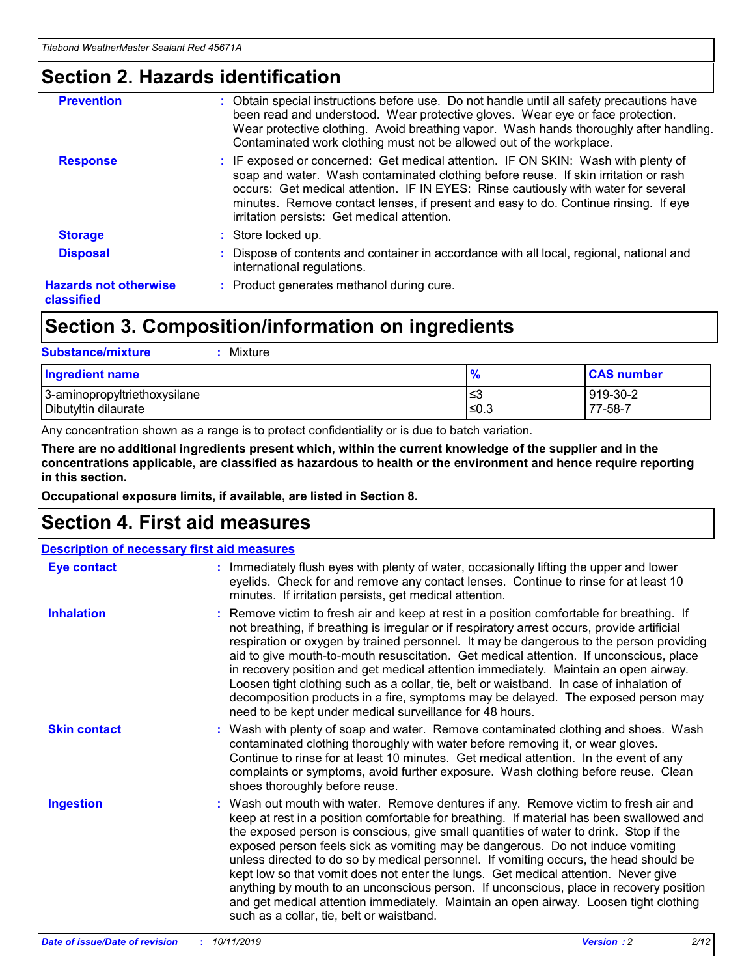### **Section 2. Hazards identification**

| <b>Prevention</b>                          | : Obtain special instructions before use. Do not handle until all safety precautions have<br>been read and understood. Wear protective gloves. Wear eye or face protection.<br>Wear protective clothing. Avoid breathing vapor. Wash hands thoroughly after handling.<br>Contaminated work clothing must not be allowed out of the workplace.                                                        |
|--------------------------------------------|------------------------------------------------------------------------------------------------------------------------------------------------------------------------------------------------------------------------------------------------------------------------------------------------------------------------------------------------------------------------------------------------------|
| <b>Response</b>                            | : IF exposed or concerned: Get medical attention. IF ON SKIN: Wash with plenty of<br>soap and water. Wash contaminated clothing before reuse. If skin irritation or rash<br>occurs: Get medical attention. IF IN EYES: Rinse cautiously with water for several<br>minutes. Remove contact lenses, if present and easy to do. Continue rinsing. If eye<br>irritation persists: Get medical attention. |
| <b>Storage</b>                             | : Store locked up.                                                                                                                                                                                                                                                                                                                                                                                   |
| <b>Disposal</b>                            | : Dispose of contents and container in accordance with all local, regional, national and<br>international regulations.                                                                                                                                                                                                                                                                               |
| <b>Hazards not otherwise</b><br>classified | : Product generates methanol during cure.                                                                                                                                                                                                                                                                                                                                                            |
|                                            |                                                                                                                                                                                                                                                                                                                                                                                                      |

### **Section 3. Composition/information on ingredients**

| <b>Substance/mixture</b><br>Mixture                  |                   |                     |
|------------------------------------------------------|-------------------|---------------------|
| <b>Ingredient name</b>                               | $\frac{9}{6}$     | <b>CAS number</b>   |
| 3-aminopropyltriethoxysilane<br>Dibutyltin dilaurate | l≤3<br>$\leq 0.3$ | 919-30-2<br>77-58-7 |

Any concentration shown as a range is to protect confidentiality or is due to batch variation.

**There are no additional ingredients present which, within the current knowledge of the supplier and in the concentrations applicable, are classified as hazardous to health or the environment and hence require reporting in this section.**

**Occupational exposure limits, if available, are listed in Section 8.**

### **Section 4. First aid measures**

| <b>Description of necessary first aid measures</b> |                                                                                                                                                                                                                                                                                                                                                                                                                                                                                                                                                                                                                                                                                                                                                                           |  |  |  |
|----------------------------------------------------|---------------------------------------------------------------------------------------------------------------------------------------------------------------------------------------------------------------------------------------------------------------------------------------------------------------------------------------------------------------------------------------------------------------------------------------------------------------------------------------------------------------------------------------------------------------------------------------------------------------------------------------------------------------------------------------------------------------------------------------------------------------------------|--|--|--|
| <b>Eye contact</b>                                 | : Immediately flush eyes with plenty of water, occasionally lifting the upper and lower<br>eyelids. Check for and remove any contact lenses. Continue to rinse for at least 10<br>minutes. If irritation persists, get medical attention.                                                                                                                                                                                                                                                                                                                                                                                                                                                                                                                                 |  |  |  |
| <b>Inhalation</b>                                  | : Remove victim to fresh air and keep at rest in a position comfortable for breathing. If<br>not breathing, if breathing is irregular or if respiratory arrest occurs, provide artificial<br>respiration or oxygen by trained personnel. It may be dangerous to the person providing<br>aid to give mouth-to-mouth resuscitation. Get medical attention. If unconscious, place<br>in recovery position and get medical attention immediately. Maintain an open airway.<br>Loosen tight clothing such as a collar, tie, belt or waistband. In case of inhalation of<br>decomposition products in a fire, symptoms may be delayed. The exposed person may<br>need to be kept under medical surveillance for 48 hours.                                                       |  |  |  |
| <b>Skin contact</b>                                | : Wash with plenty of soap and water. Remove contaminated clothing and shoes. Wash<br>contaminated clothing thoroughly with water before removing it, or wear gloves.<br>Continue to rinse for at least 10 minutes. Get medical attention. In the event of any<br>complaints or symptoms, avoid further exposure. Wash clothing before reuse. Clean<br>shoes thoroughly before reuse.                                                                                                                                                                                                                                                                                                                                                                                     |  |  |  |
| <b>Ingestion</b>                                   | : Wash out mouth with water. Remove dentures if any. Remove victim to fresh air and<br>keep at rest in a position comfortable for breathing. If material has been swallowed and<br>the exposed person is conscious, give small quantities of water to drink. Stop if the<br>exposed person feels sick as vomiting may be dangerous. Do not induce vomiting<br>unless directed to do so by medical personnel. If vomiting occurs, the head should be<br>kept low so that vomit does not enter the lungs. Get medical attention. Never give<br>anything by mouth to an unconscious person. If unconscious, place in recovery position<br>and get medical attention immediately. Maintain an open airway. Loosen tight clothing<br>such as a collar, tie, belt or waistband. |  |  |  |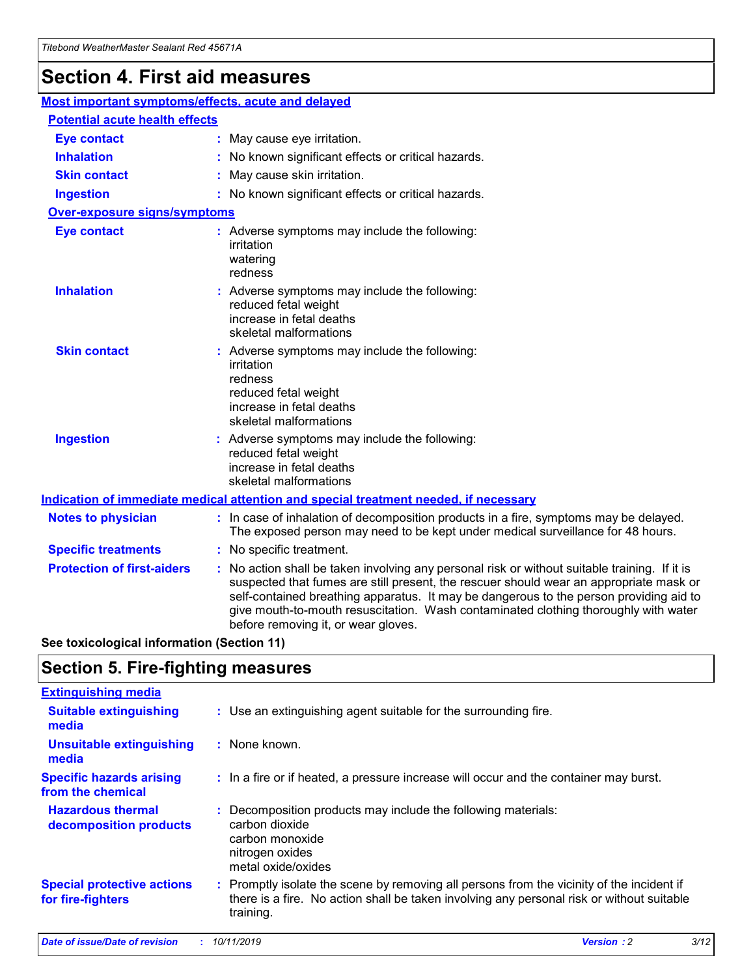## **Section 4. First aid measures**

| Most important symptoms/effects, acute and delayed |                                       |                                                                                                                                                                                                                                                                                                                                                                                                                 |  |  |  |
|----------------------------------------------------|---------------------------------------|-----------------------------------------------------------------------------------------------------------------------------------------------------------------------------------------------------------------------------------------------------------------------------------------------------------------------------------------------------------------------------------------------------------------|--|--|--|
|                                                    | <b>Potential acute health effects</b> |                                                                                                                                                                                                                                                                                                                                                                                                                 |  |  |  |
| <b>Eye contact</b>                                 |                                       | : May cause eye irritation.                                                                                                                                                                                                                                                                                                                                                                                     |  |  |  |
| <b>Inhalation</b>                                  |                                       | : No known significant effects or critical hazards.                                                                                                                                                                                                                                                                                                                                                             |  |  |  |
| <b>Skin contact</b>                                |                                       | : May cause skin irritation.                                                                                                                                                                                                                                                                                                                                                                                    |  |  |  |
| <b>Ingestion</b>                                   |                                       | : No known significant effects or critical hazards.                                                                                                                                                                                                                                                                                                                                                             |  |  |  |
| Over-exposure signs/symptoms                       |                                       |                                                                                                                                                                                                                                                                                                                                                                                                                 |  |  |  |
| <b>Eye contact</b>                                 |                                       | : Adverse symptoms may include the following:<br>irritation<br>watering<br>redness                                                                                                                                                                                                                                                                                                                              |  |  |  |
| <b>Inhalation</b>                                  |                                       | : Adverse symptoms may include the following:<br>reduced fetal weight<br>increase in fetal deaths<br>skeletal malformations                                                                                                                                                                                                                                                                                     |  |  |  |
| <b>Skin contact</b>                                |                                       | : Adverse symptoms may include the following:<br>irritation<br>redness<br>reduced fetal weight<br>increase in fetal deaths<br>skeletal malformations                                                                                                                                                                                                                                                            |  |  |  |
| <b>Ingestion</b>                                   |                                       | : Adverse symptoms may include the following:<br>reduced fetal weight<br>increase in fetal deaths<br>skeletal malformations                                                                                                                                                                                                                                                                                     |  |  |  |
|                                                    |                                       | <b>Indication of immediate medical attention and special treatment needed, if necessary</b>                                                                                                                                                                                                                                                                                                                     |  |  |  |
| <b>Notes to physician</b>                          |                                       | : In case of inhalation of decomposition products in a fire, symptoms may be delayed.<br>The exposed person may need to be kept under medical surveillance for 48 hours.                                                                                                                                                                                                                                        |  |  |  |
| <b>Specific treatments</b>                         |                                       | : No specific treatment.                                                                                                                                                                                                                                                                                                                                                                                        |  |  |  |
| <b>Protection of first-aiders</b>                  |                                       | : No action shall be taken involving any personal risk or without suitable training. If it is<br>suspected that fumes are still present, the rescuer should wear an appropriate mask or<br>self-contained breathing apparatus. It may be dangerous to the person providing aid to<br>give mouth-to-mouth resuscitation. Wash contaminated clothing thoroughly with water<br>before removing it, or wear gloves. |  |  |  |

**See toxicological information (Section 11)**

### **Section 5. Fire-fighting measures**

| <b>Extinguishing media</b>                             |                                                                                                                                                                                                     |
|--------------------------------------------------------|-----------------------------------------------------------------------------------------------------------------------------------------------------------------------------------------------------|
| <b>Suitable extinguishing</b><br>media                 | : Use an extinguishing agent suitable for the surrounding fire.                                                                                                                                     |
| <b>Unsuitable extinguishing</b><br>media               | $:$ None known.                                                                                                                                                                                     |
| <b>Specific hazards arising</b><br>from the chemical   | : In a fire or if heated, a pressure increase will occur and the container may burst.                                                                                                               |
| <b>Hazardous thermal</b><br>decomposition products     | : Decomposition products may include the following materials:<br>carbon dioxide<br>carbon monoxide<br>nitrogen oxides<br>metal oxide/oxides                                                         |
| <b>Special protective actions</b><br>for fire-fighters | : Promptly isolate the scene by removing all persons from the vicinity of the incident if<br>there is a fire. No action shall be taken involving any personal risk or without suitable<br>training. |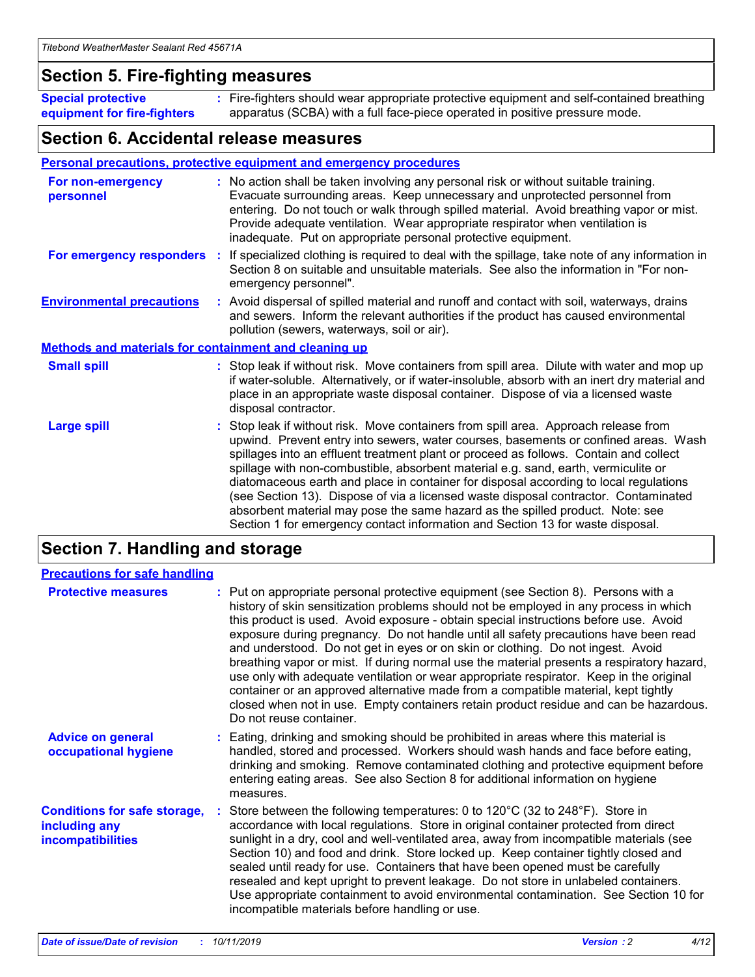### **Section 5. Fire-fighting measures**

**Special protective equipment for fire-fighters** Fire-fighters should wear appropriate protective equipment and self-contained breathing **:** apparatus (SCBA) with a full face-piece operated in positive pressure mode.

### **Section 6. Accidental release measures**

#### **Personal precautions, protective equipment and emergency procedures**

| For non-emergency<br>personnel                               | : No action shall be taken involving any personal risk or without suitable training.<br>Evacuate surrounding areas. Keep unnecessary and unprotected personnel from<br>entering. Do not touch or walk through spilled material. Avoid breathing vapor or mist.<br>Provide adequate ventilation. Wear appropriate respirator when ventilation is<br>inadequate. Put on appropriate personal protective equipment.                                                                                                                                                                                                                                                                                             |
|--------------------------------------------------------------|--------------------------------------------------------------------------------------------------------------------------------------------------------------------------------------------------------------------------------------------------------------------------------------------------------------------------------------------------------------------------------------------------------------------------------------------------------------------------------------------------------------------------------------------------------------------------------------------------------------------------------------------------------------------------------------------------------------|
|                                                              | For emergency responders : If specialized clothing is required to deal with the spillage, take note of any information in<br>Section 8 on suitable and unsuitable materials. See also the information in "For non-<br>emergency personnel".                                                                                                                                                                                                                                                                                                                                                                                                                                                                  |
| <b>Environmental precautions</b>                             | : Avoid dispersal of spilled material and runoff and contact with soil, waterways, drains<br>and sewers. Inform the relevant authorities if the product has caused environmental<br>pollution (sewers, waterways, soil or air).                                                                                                                                                                                                                                                                                                                                                                                                                                                                              |
| <b>Methods and materials for containment and cleaning up</b> |                                                                                                                                                                                                                                                                                                                                                                                                                                                                                                                                                                                                                                                                                                              |
| <b>Small spill</b>                                           | : Stop leak if without risk. Move containers from spill area. Dilute with water and mop up<br>if water-soluble. Alternatively, or if water-insoluble, absorb with an inert dry material and<br>place in an appropriate waste disposal container. Dispose of via a licensed waste<br>disposal contractor.                                                                                                                                                                                                                                                                                                                                                                                                     |
| <b>Large spill</b>                                           | : Stop leak if without risk. Move containers from spill area. Approach release from<br>upwind. Prevent entry into sewers, water courses, basements or confined areas. Wash<br>spillages into an effluent treatment plant or proceed as follows. Contain and collect<br>spillage with non-combustible, absorbent material e.g. sand, earth, vermiculite or<br>diatomaceous earth and place in container for disposal according to local regulations<br>(see Section 13). Dispose of via a licensed waste disposal contractor. Contaminated<br>absorbent material may pose the same hazard as the spilled product. Note: see<br>Section 1 for emergency contact information and Section 13 for waste disposal. |

### **Section 7. Handling and storage**

| <b>Precautions for safe handling</b>                                             |                                                                                                                                                                                                                                                                                                                                                                                                                                                                                                                                                                                                                                                                                                                                                                                                                                                  |
|----------------------------------------------------------------------------------|--------------------------------------------------------------------------------------------------------------------------------------------------------------------------------------------------------------------------------------------------------------------------------------------------------------------------------------------------------------------------------------------------------------------------------------------------------------------------------------------------------------------------------------------------------------------------------------------------------------------------------------------------------------------------------------------------------------------------------------------------------------------------------------------------------------------------------------------------|
| <b>Protective measures</b>                                                       | : Put on appropriate personal protective equipment (see Section 8). Persons with a<br>history of skin sensitization problems should not be employed in any process in which<br>this product is used. Avoid exposure - obtain special instructions before use. Avoid<br>exposure during pregnancy. Do not handle until all safety precautions have been read<br>and understood. Do not get in eyes or on skin or clothing. Do not ingest. Avoid<br>breathing vapor or mist. If during normal use the material presents a respiratory hazard,<br>use only with adequate ventilation or wear appropriate respirator. Keep in the original<br>container or an approved alternative made from a compatible material, kept tightly<br>closed when not in use. Empty containers retain product residue and can be hazardous.<br>Do not reuse container. |
| <b>Advice on general</b><br>occupational hygiene                                 | : Eating, drinking and smoking should be prohibited in areas where this material is<br>handled, stored and processed. Workers should wash hands and face before eating,<br>drinking and smoking. Remove contaminated clothing and protective equipment before<br>entering eating areas. See also Section 8 for additional information on hygiene<br>measures.                                                                                                                                                                                                                                                                                                                                                                                                                                                                                    |
| <b>Conditions for safe storage,</b><br>including any<br><b>incompatibilities</b> | Store between the following temperatures: 0 to $120^{\circ}$ C (32 to $248^{\circ}$ F). Store in<br>accordance with local regulations. Store in original container protected from direct<br>sunlight in a dry, cool and well-ventilated area, away from incompatible materials (see<br>Section 10) and food and drink. Store locked up. Keep container tightly closed and<br>sealed until ready for use. Containers that have been opened must be carefully<br>resealed and kept upright to prevent leakage. Do not store in unlabeled containers.<br>Use appropriate containment to avoid environmental contamination. See Section 10 for<br>incompatible materials before handling or use.                                                                                                                                                     |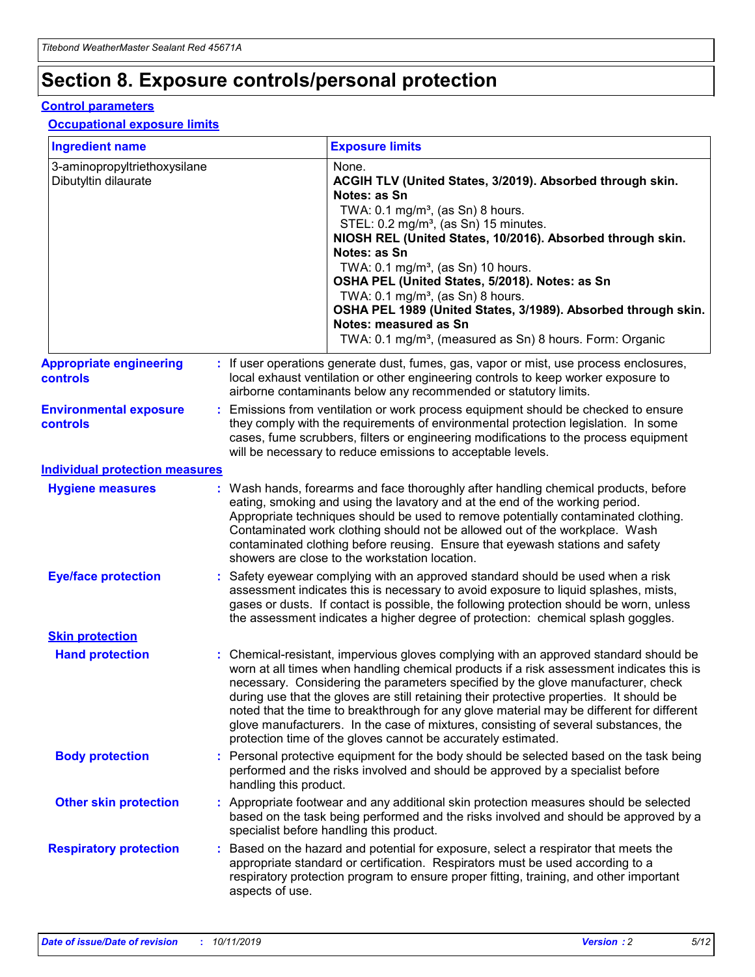## **Section 8. Exposure controls/personal protection**

#### **Control parameters**

#### **Occupational exposure limits**

| <b>Ingredient name</b>                               |    |                        | <b>Exposure limits</b>                                                                                                                                                                                                                                                                                                                                                                                                                                                                                                                                                                                                 |
|------------------------------------------------------|----|------------------------|------------------------------------------------------------------------------------------------------------------------------------------------------------------------------------------------------------------------------------------------------------------------------------------------------------------------------------------------------------------------------------------------------------------------------------------------------------------------------------------------------------------------------------------------------------------------------------------------------------------------|
| 3-aminopropyltriethoxysilane<br>Dibutyltin dilaurate |    |                        | None.<br>ACGIH TLV (United States, 3/2019). Absorbed through skin.<br>Notes: as Sn<br>TWA: $0.1 \text{ mg/m}^3$ , (as Sn) 8 hours.<br>STEL: 0.2 mg/m <sup>3</sup> , (as Sn) 15 minutes.<br>NIOSH REL (United States, 10/2016). Absorbed through skin.<br>Notes: as Sn<br>TWA: 0.1 mg/m <sup>3</sup> , (as Sn) 10 hours.<br>OSHA PEL (United States, 5/2018). Notes: as Sn<br>TWA: $0.1 \text{ mg/m}^3$ , (as Sn) 8 hours.<br>OSHA PEL 1989 (United States, 3/1989). Absorbed through skin.<br>Notes: measured as Sn<br>TWA: 0.1 mg/m <sup>3</sup> , (measured as Sn) 8 hours. Form: Organic                            |
| <b>Appropriate engineering</b><br>controls           |    |                        | : If user operations generate dust, fumes, gas, vapor or mist, use process enclosures,<br>local exhaust ventilation or other engineering controls to keep worker exposure to<br>airborne contaminants below any recommended or statutory limits.                                                                                                                                                                                                                                                                                                                                                                       |
| <b>Environmental exposure</b><br>controls            |    |                        | Emissions from ventilation or work process equipment should be checked to ensure<br>they comply with the requirements of environmental protection legislation. In some<br>cases, fume scrubbers, filters or engineering modifications to the process equipment<br>will be necessary to reduce emissions to acceptable levels.                                                                                                                                                                                                                                                                                          |
| <b>Individual protection measures</b>                |    |                        |                                                                                                                                                                                                                                                                                                                                                                                                                                                                                                                                                                                                                        |
| <b>Hygiene measures</b>                              |    |                        | : Wash hands, forearms and face thoroughly after handling chemical products, before<br>eating, smoking and using the lavatory and at the end of the working period.<br>Appropriate techniques should be used to remove potentially contaminated clothing.<br>Contaminated work clothing should not be allowed out of the workplace. Wash<br>contaminated clothing before reusing. Ensure that eyewash stations and safety<br>showers are close to the workstation location.                                                                                                                                            |
| <b>Eye/face protection</b>                           |    |                        | : Safety eyewear complying with an approved standard should be used when a risk<br>assessment indicates this is necessary to avoid exposure to liquid splashes, mists,<br>gases or dusts. If contact is possible, the following protection should be worn, unless<br>the assessment indicates a higher degree of protection: chemical splash goggles.                                                                                                                                                                                                                                                                  |
| <b>Skin protection</b>                               |    |                        |                                                                                                                                                                                                                                                                                                                                                                                                                                                                                                                                                                                                                        |
| <b>Hand protection</b>                               |    |                        | : Chemical-resistant, impervious gloves complying with an approved standard should be<br>worn at all times when handling chemical products if a risk assessment indicates this is<br>necessary. Considering the parameters specified by the glove manufacturer, check<br>during use that the gloves are still retaining their protective properties. It should be<br>noted that the time to breakthrough for any glove material may be different for different<br>glove manufacturers. In the case of mixtures, consisting of several substances, the<br>protection time of the gloves cannot be accurately estimated. |
| <b>Body protection</b>                               |    | handling this product. | Personal protective equipment for the body should be selected based on the task being<br>performed and the risks involved and should be approved by a specialist before                                                                                                                                                                                                                                                                                                                                                                                                                                                |
| <b>Other skin protection</b>                         |    |                        | : Appropriate footwear and any additional skin protection measures should be selected<br>based on the task being performed and the risks involved and should be approved by a<br>specialist before handling this product.                                                                                                                                                                                                                                                                                                                                                                                              |
| <b>Respiratory protection</b>                        | ÷. | aspects of use.        | Based on the hazard and potential for exposure, select a respirator that meets the<br>appropriate standard or certification. Respirators must be used according to a<br>respiratory protection program to ensure proper fitting, training, and other important                                                                                                                                                                                                                                                                                                                                                         |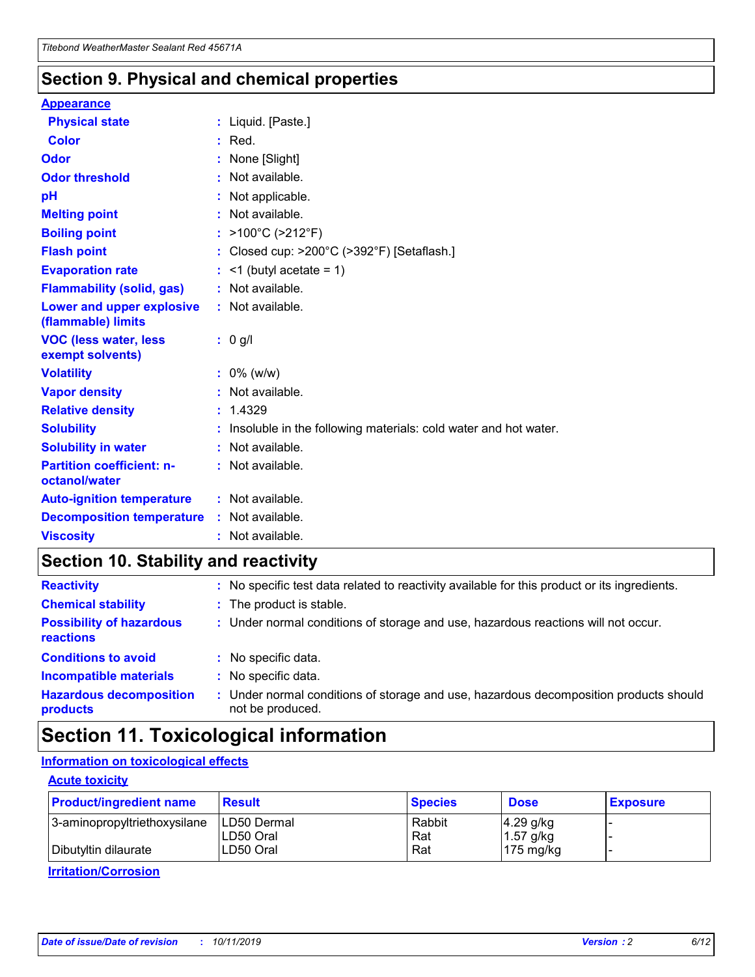### **Section 9. Physical and chemical properties**

#### **Appearance**

| <b>Physical state</b>                             | : Liquid. [Paste.]                                              |
|---------------------------------------------------|-----------------------------------------------------------------|
| Color                                             | $:$ Red.                                                        |
| Odor                                              | : None [Slight]                                                 |
| <b>Odor threshold</b>                             | : Not available.                                                |
| pH                                                | : Not applicable.                                               |
| <b>Melting point</b>                              | : Not available.                                                |
| <b>Boiling point</b>                              | : >100°C (>212°F)                                               |
| <b>Flash point</b>                                | : Closed cup: $>200^{\circ}$ C ( $>392^{\circ}$ F) [Setaflash.] |
| <b>Evaporation rate</b>                           | $:$ <1 (butyl acetate = 1)                                      |
| <b>Flammability (solid, gas)</b>                  | : Not available.                                                |
| Lower and upper explosive<br>(flammable) limits   | : Not available.                                                |
| <b>VOC (less water, less</b><br>exempt solvents)  | : 0 g/l                                                         |
| <b>Volatility</b>                                 | $: 0\%$ (w/w)                                                   |
| <b>Vapor density</b>                              | : Not available.                                                |
| <b>Relative density</b>                           | : 1.4329                                                        |
| <b>Solubility</b>                                 | Insoluble in the following materials: cold water and hot water. |
| <b>Solubility in water</b>                        | : Not available.                                                |
| <b>Partition coefficient: n-</b><br>octanol/water | $:$ Not available.                                              |
| <b>Auto-ignition temperature</b>                  | : Not available.                                                |
| <b>Decomposition temperature</b>                  | : Not available.                                                |
|                                                   |                                                                 |

### **Section 10. Stability and reactivity**

| <b>Reactivity</b>                            |    | : No specific test data related to reactivity available for this product or its ingredients.            |
|----------------------------------------------|----|---------------------------------------------------------------------------------------------------------|
| <b>Chemical stability</b>                    |    | : The product is stable.                                                                                |
| <b>Possibility of hazardous</b><br>reactions |    | : Under normal conditions of storage and use, hazardous reactions will not occur.                       |
| <b>Conditions to avoid</b>                   |    | : No specific data.                                                                                     |
| <b>Incompatible materials</b>                | ٠. | No specific data.                                                                                       |
| <b>Hazardous decomposition</b><br>products   | ÷. | Under normal conditions of storage and use, hazardous decomposition products should<br>not be produced. |

### **Section 11. Toxicological information**

### **Information on toxicological effects**

#### **Acute toxicity**

| <b>Product/ingredient name</b> | <b>Result</b>           | <b>Species</b> | <b>Dose</b>                | <b>Exposure</b> |
|--------------------------------|-------------------------|----------------|----------------------------|-----------------|
| 3-aminopropyltriethoxysilane   | <b>ILD50 Dermal</b>     | Rabbit         | 4.29 g/kg                  |                 |
| Dibutyltin dilaurate           | ILD50 Oral<br>LD50 Oral | Rat<br>Rat     | $1.57$ g/kg<br>175 $mg/kg$ |                 |
|                                |                         |                |                            |                 |

**Irritation/Corrosion**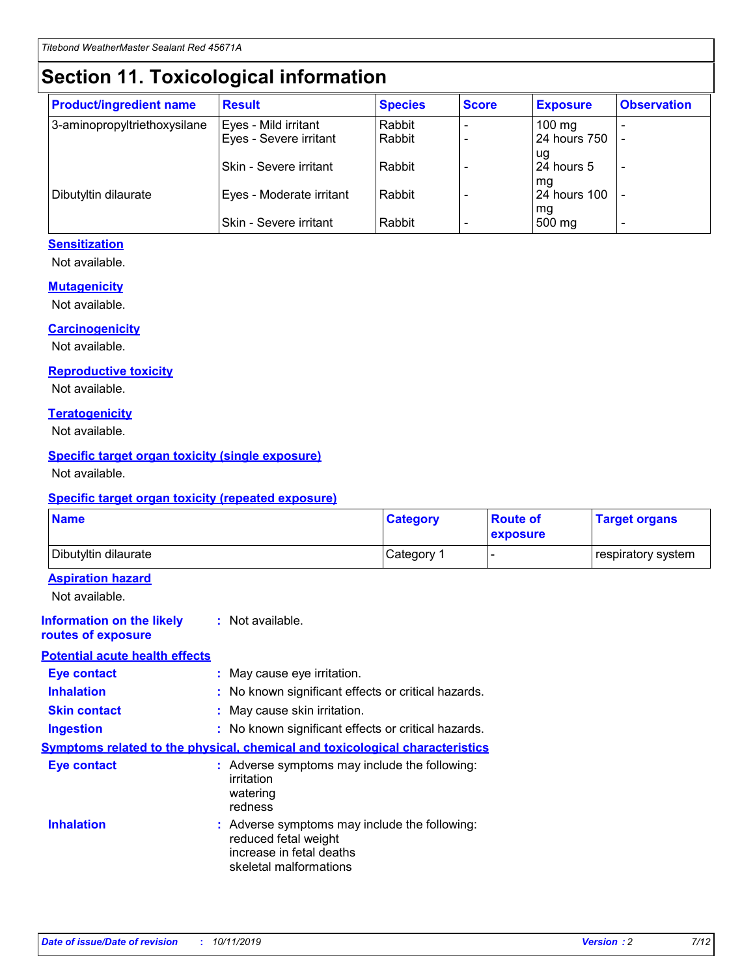## **Section 11. Toxicological information**

| <b>Product/ingredient name</b> | <b>Result</b>            | <b>Species</b> | <b>Score</b> | <b>Exposure</b>           | <b>Observation</b> |
|--------------------------------|--------------------------|----------------|--------------|---------------------------|--------------------|
| 3-aminopropyltriethoxysilane   | Eyes - Mild irritant     | Rabbit         |              | $100$ mg                  |                    |
|                                | Eyes - Severe irritant   | Rabbit         |              | 24 hours 750              |                    |
|                                |                          |                |              | ug                        |                    |
|                                | Skin - Severe irritant   | Rabbit         |              | 24 hours 5                | -                  |
| Dibutyltin dilaurate           | Eyes - Moderate irritant | Rabbit         |              | mq<br><b>24 hours 100</b> |                    |
|                                |                          |                |              | mg                        |                    |
|                                | Skin - Severe irritant   | Rabbit         |              | 500 mg                    |                    |

#### **Sensitization**

Not available.

#### **Mutagenicity**

Not available.

#### **Carcinogenicity**

Not available.

#### **Reproductive toxicity**

Not available.

#### **Teratogenicity**

Not available.

#### **Specific target organ toxicity (single exposure)**

Not available.

#### **Specific target organ toxicity (repeated exposure)**

| <b>Name</b>                                                                  |                                                                                                                             | <b>Category</b> | <b>Route of</b><br>exposure | <b>Target organs</b> |
|------------------------------------------------------------------------------|-----------------------------------------------------------------------------------------------------------------------------|-----------------|-----------------------------|----------------------|
| Dibutyltin dilaurate                                                         |                                                                                                                             | Category 1      |                             | respiratory system   |
| <b>Aspiration hazard</b><br>Not available.                                   |                                                                                                                             |                 |                             |                      |
| <b>Information on the likely</b><br>routes of exposure                       | : Not available.                                                                                                            |                 |                             |                      |
| <b>Potential acute health effects</b>                                        |                                                                                                                             |                 |                             |                      |
| <b>Eye contact</b>                                                           | : May cause eye irritation.                                                                                                 |                 |                             |                      |
| <b>Inhalation</b>                                                            | : No known significant effects or critical hazards.                                                                         |                 |                             |                      |
| <b>Skin contact</b>                                                          | : May cause skin irritation.                                                                                                |                 |                             |                      |
| <b>Ingestion</b>                                                             | : No known significant effects or critical hazards.                                                                         |                 |                             |                      |
| Symptoms related to the physical, chemical and toxicological characteristics |                                                                                                                             |                 |                             |                      |
| <b>Eye contact</b>                                                           | : Adverse symptoms may include the following:<br>irritation<br>watering<br>redness                                          |                 |                             |                      |
| <b>Inhalation</b>                                                            | : Adverse symptoms may include the following:<br>reduced fetal weight<br>increase in fetal deaths<br>skeletal malformations |                 |                             |                      |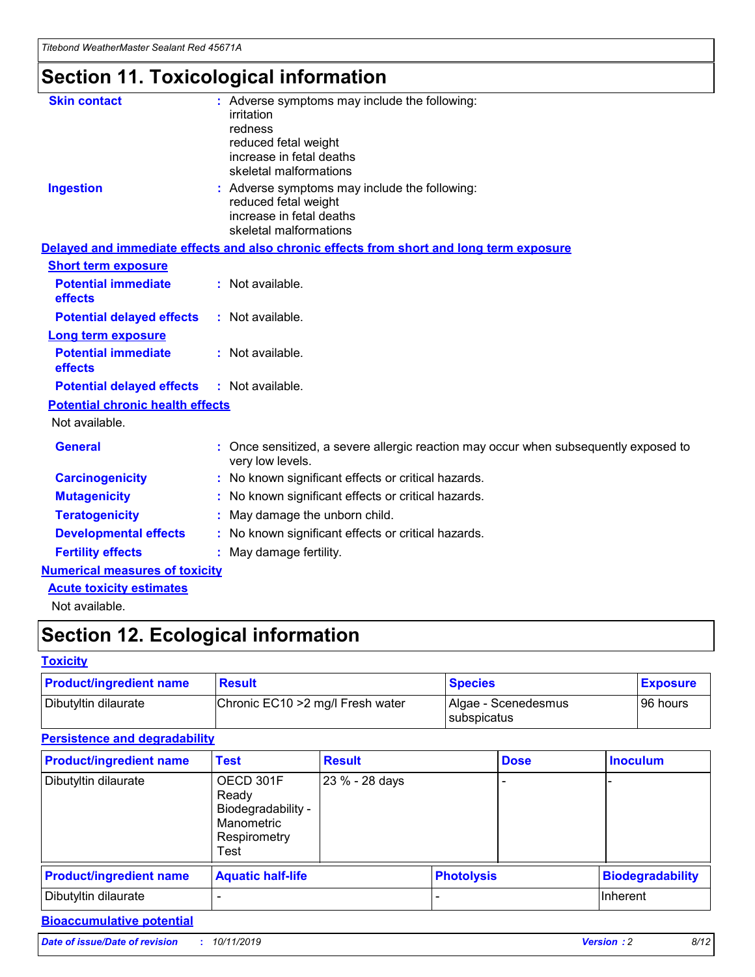## **Section 11. Toxicological information**

| <b>Skin contact</b>                     | : Adverse symptoms may include the following:<br>irritation<br>redness<br>reduced fetal weight<br>increase in fetal deaths<br>skeletal malformations |
|-----------------------------------------|------------------------------------------------------------------------------------------------------------------------------------------------------|
| <b>Ingestion</b>                        | : Adverse symptoms may include the following:<br>reduced fetal weight<br>increase in fetal deaths<br>skeletal malformations                          |
|                                         | Delayed and immediate effects and also chronic effects from short and long term exposure                                                             |
| <b>Short term exposure</b>              |                                                                                                                                                      |
| <b>Potential immediate</b><br>effects   | : Not available.                                                                                                                                     |
| <b>Potential delayed effects</b>        | : Not available.                                                                                                                                     |
| <b>Long term exposure</b>               |                                                                                                                                                      |
| <b>Potential immediate</b><br>effects   | : Not available.                                                                                                                                     |
| <b>Potential delayed effects</b>        | : Not available.                                                                                                                                     |
| <b>Potential chronic health effects</b> |                                                                                                                                                      |
| Not available.                          |                                                                                                                                                      |
| <b>General</b>                          | : Once sensitized, a severe allergic reaction may occur when subsequently exposed to<br>very low levels.                                             |
| <b>Carcinogenicity</b>                  | : No known significant effects or critical hazards.                                                                                                  |
| <b>Mutagenicity</b>                     | No known significant effects or critical hazards.                                                                                                    |
| <b>Teratogenicity</b>                   | May damage the unborn child.                                                                                                                         |
| <b>Developmental effects</b>            | No known significant effects or critical hazards.                                                                                                    |
| <b>Fertility effects</b>                | : May damage fertility.                                                                                                                              |
| <b>Numerical measures of toxicity</b>   |                                                                                                                                                      |
| <b>Acute toxicity estimates</b>         |                                                                                                                                                      |
|                                         |                                                                                                                                                      |

Not available.

## **Section 12. Ecological information**

#### **Toxicity**

| <b>Product/ingredient name</b> | <b>Result</b>                     | <b>Species</b>                       | <b>Exposure</b> |
|--------------------------------|-----------------------------------|--------------------------------------|-----------------|
| Dibutyltin dilaurate           | Chronic EC10 > 2 mg/l Fresh water | Algae - Scenedesmus<br>I subspicatus | l 96 hours i    |

### **Persistence and degradability**

| <b>Product/ingredient name</b> | <b>Test</b>                                                                    | <b>Result</b>  |  | <b>Dose</b>       | <b>Inoculum</b>         |
|--------------------------------|--------------------------------------------------------------------------------|----------------|--|-------------------|-------------------------|
| Dibutyltin dilaurate           | OECD 301F<br>Ready<br>Biodegradability -<br>Manometric<br>Respirometry<br>Test | 23 % - 28 days |  |                   |                         |
| <b>Product/ingredient name</b> | <b>Aquatic half-life</b>                                                       |                |  | <b>Photolysis</b> | <b>Biodegradability</b> |
| Dibutyltin dilaurate           |                                                                                |                |  |                   | Inherent                |

### **Bioaccumulative potential**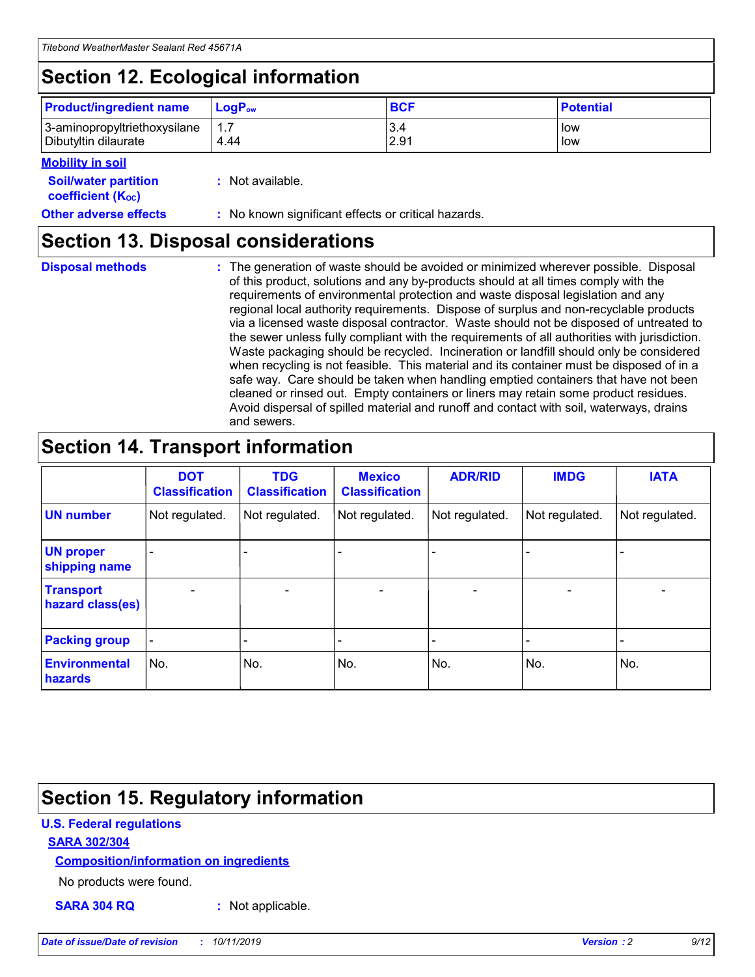## **Section 12. Ecological information**

| <b>Product/ingredient name</b> | $LoaPow$ | <b>BCF</b> | <b>Potential</b> |
|--------------------------------|----------|------------|------------------|
| 3-aminopropyltriethoxysilane   | 1.7      | 3.4        | low              |
| Dibutyltin dilaurate           | 4.44     | 2.91       | low              |

#### **Mobility in soil**

| <b>Soil/water partition</b><br>coefficient (K <sub>oc</sub> ) | : Not available.                                    |
|---------------------------------------------------------------|-----------------------------------------------------|
| <b>Other adverse effects</b>                                  | : No known significant effects or critical hazards. |

### **Section 13. Disposal considerations**

**Disposal methods :**

The generation of waste should be avoided or minimized wherever possible. Disposal of this product, solutions and any by-products should at all times comply with the requirements of environmental protection and waste disposal legislation and any regional local authority requirements. Dispose of surplus and non-recyclable products via a licensed waste disposal contractor. Waste should not be disposed of untreated to the sewer unless fully compliant with the requirements of all authorities with jurisdiction. Waste packaging should be recycled. Incineration or landfill should only be considered when recycling is not feasible. This material and its container must be disposed of in a safe way. Care should be taken when handling emptied containers that have not been cleaned or rinsed out. Empty containers or liners may retain some product residues. Avoid dispersal of spilled material and runoff and contact with soil, waterways, drains and sewers.

## **Section 14. Transport information**

|                                      | <b>DOT</b><br><b>Classification</b> | <b>TDG</b><br><b>Classification</b> | <b>Mexico</b><br><b>Classification</b> | <b>ADR/RID</b>           | <b>IMDG</b>              | <b>IATA</b>              |
|--------------------------------------|-------------------------------------|-------------------------------------|----------------------------------------|--------------------------|--------------------------|--------------------------|
| <b>UN number</b>                     | Not regulated.                      | Not regulated.                      | Not regulated.                         | Not regulated.           | Not regulated.           | Not regulated.           |
| <b>UN proper</b><br>shipping name    | $\qquad \qquad \blacksquare$        |                                     |                                        |                          |                          |                          |
| <b>Transport</b><br>hazard class(es) | $\blacksquare$                      | $\blacksquare$                      | $\blacksquare$                         | $\overline{\phantom{a}}$ | $\blacksquare$           | $\blacksquare$           |
| <b>Packing group</b>                 | $\overline{\phantom{a}}$            | $\overline{\phantom{0}}$            | $\qquad \qquad \blacksquare$           | -                        | $\overline{\phantom{0}}$ | $\overline{\phantom{a}}$ |
| <b>Environmental</b><br>hazards      | No.                                 | No.                                 | No.                                    | No.                      | No.                      | No.                      |

## **Section 15. Regulatory information**

#### **U.S. Federal regulations**

#### **SARA 302/304**

#### **Composition/information on ingredients**

No products were found.

**SARA 304 RQ :** Not applicable.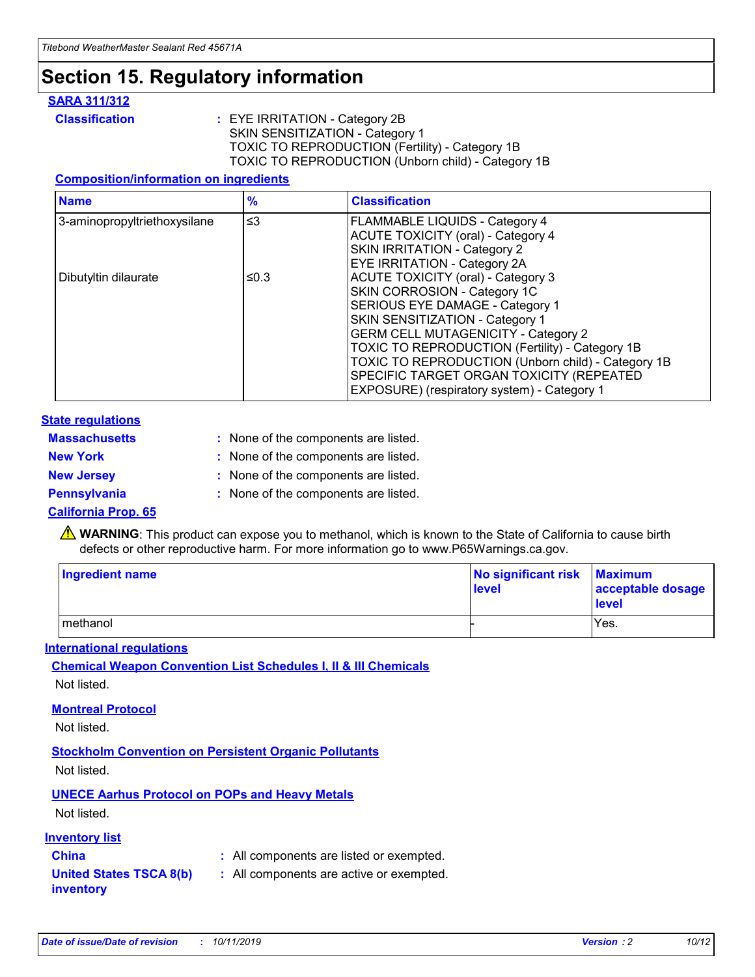## **Section 15. Regulatory information**

#### **SARA 311/312**

**Classification :** EYE IRRITATION - Category 2B SKIN SENSITIZATION - Category 1 TOXIC TO REPRODUCTION (Fertility) - Category 1B TOXIC TO REPRODUCTION (Unborn child) - Category 1B

#### **Composition/information on ingredients**

| <b>Name</b>                  | $\frac{9}{6}$ | <b>Classification</b>                                                                                            |
|------------------------------|---------------|------------------------------------------------------------------------------------------------------------------|
| 3-aminopropyltriethoxysilane | $\leq$ 3      | <b>FLAMMABLE LIQUIDS - Category 4</b><br><b>ACUTE TOXICITY (oral) - Category 4</b>                               |
|                              |               | SKIN IRRITATION - Category 2<br>EYE IRRITATION - Category 2A                                                     |
| Dibutyltin dilaurate         | ≤0.3          | ACUTE TOXICITY (oral) - Category 3<br>SKIN CORROSION - Category 1C                                               |
|                              |               | SERIOUS EYE DAMAGE - Category 1<br>SKIN SENSITIZATION - Category 1<br><b>GERM CELL MUTAGENICITY - Category 2</b> |
|                              |               | TOXIC TO REPRODUCTION (Fertility) - Category 1B<br>TOXIC TO REPRODUCTION (Unborn child) - Category 1B            |
|                              |               | SPECIFIC TARGET ORGAN TOXICITY (REPEATED<br>EXPOSURE) (respiratory system) - Category 1                          |

#### **State regulations**

| <b>Massachusetts</b> | : None of the components are listed. |
|----------------------|--------------------------------------|
| <b>New York</b>      | : None of the components are listed. |
| <b>New Jersey</b>    | : None of the components are listed. |
| Pennsylvania         | : None of the components are listed. |

#### **California Prop. 65**

**A** WARNING: This product can expose you to methanol, which is known to the State of California to cause birth defects or other reproductive harm. For more information go to www.P65Warnings.ca.gov.

| <b>Ingredient name</b> | No significant risk Maximum<br>level | acceptable dosage<br>level |
|------------------------|--------------------------------------|----------------------------|
| methanol               |                                      | Yes.                       |

#### **International regulations**

**Chemical Weapon Convention List Schedules I, II & III Chemicals** Not listed.

#### **Montreal Protocol**

Not listed.

**Stockholm Convention on Persistent Organic Pollutants**

Not listed.

### **UNECE Aarhus Protocol on POPs and Heavy Metals**

Not listed.

#### **Inventory list**

### **China :** All components are listed or exempted.

**United States TSCA 8(b) inventory :** All components are active or exempted.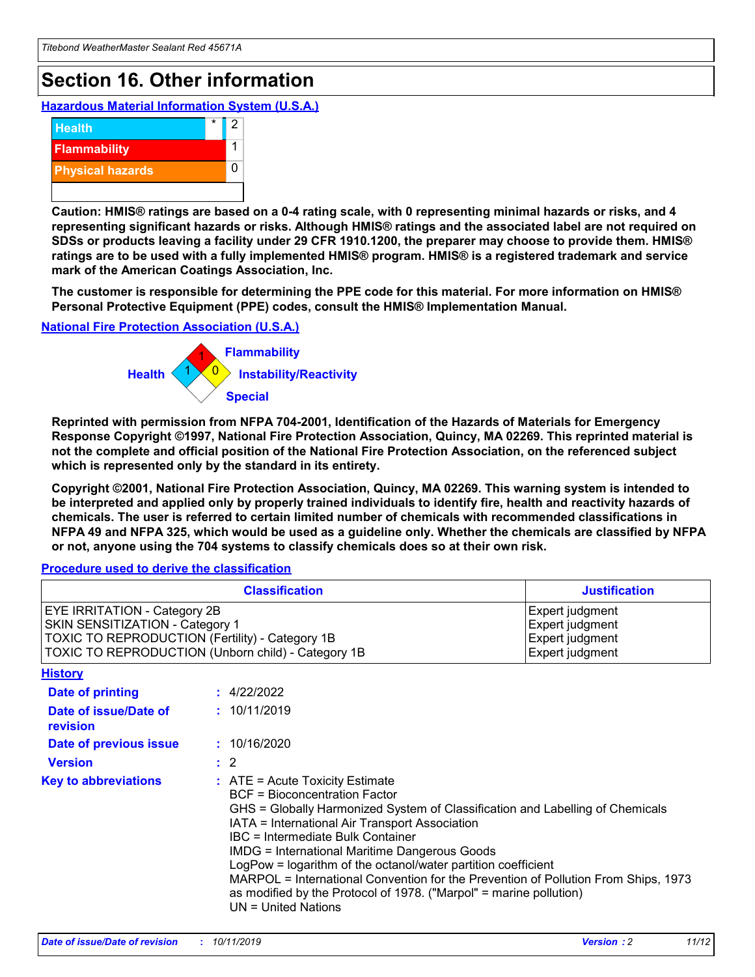## **Section 16. Other information**

**Hazardous Material Information System (U.S.A.)**



**Caution: HMIS® ratings are based on a 0-4 rating scale, with 0 representing minimal hazards or risks, and 4 representing significant hazards or risks. Although HMIS® ratings and the associated label are not required on SDSs or products leaving a facility under 29 CFR 1910.1200, the preparer may choose to provide them. HMIS® ratings are to be used with a fully implemented HMIS® program. HMIS® is a registered trademark and service mark of the American Coatings Association, Inc.**

**The customer is responsible for determining the PPE code for this material. For more information on HMIS® Personal Protective Equipment (PPE) codes, consult the HMIS® Implementation Manual.**

#### **National Fire Protection Association (U.S.A.)**



**Reprinted with permission from NFPA 704-2001, Identification of the Hazards of Materials for Emergency Response Copyright ©1997, National Fire Protection Association, Quincy, MA 02269. This reprinted material is not the complete and official position of the National Fire Protection Association, on the referenced subject which is represented only by the standard in its entirety.**

**Copyright ©2001, National Fire Protection Association, Quincy, MA 02269. This warning system is intended to be interpreted and applied only by properly trained individuals to identify fire, health and reactivity hazards of chemicals. The user is referred to certain limited number of chemicals with recommended classifications in NFPA 49 and NFPA 325, which would be used as a guideline only. Whether the chemicals are classified by NFPA or not, anyone using the 704 systems to classify chemicals does so at their own risk.**

#### **Procedure used to derive the classification**

| <b>Classification</b>                                                                                                                                                                  |                                                                                                                                                                                                                                                                   | <b>Justification</b>                                                                                                                                                                                                                                                                                       |  |
|----------------------------------------------------------------------------------------------------------------------------------------------------------------------------------------|-------------------------------------------------------------------------------------------------------------------------------------------------------------------------------------------------------------------------------------------------------------------|------------------------------------------------------------------------------------------------------------------------------------------------------------------------------------------------------------------------------------------------------------------------------------------------------------|--|
| <b>EYE IRRITATION - Category 2B</b><br>SKIN SENSITIZATION - Category 1<br><b>TOXIC TO REPRODUCTION (Fertility) - Category 1B</b><br>TOXIC TO REPRODUCTION (Unborn child) - Category 1B |                                                                                                                                                                                                                                                                   | Expert judgment<br>Expert judgment<br>Expert judgment<br>Expert judgment                                                                                                                                                                                                                                   |  |
| <b>History</b>                                                                                                                                                                         |                                                                                                                                                                                                                                                                   |                                                                                                                                                                                                                                                                                                            |  |
| <b>Date of printing</b>                                                                                                                                                                | : 4/22/2022                                                                                                                                                                                                                                                       |                                                                                                                                                                                                                                                                                                            |  |
| Date of issue/Date of<br>revision                                                                                                                                                      | : 10/11/2019                                                                                                                                                                                                                                                      |                                                                                                                                                                                                                                                                                                            |  |
| Date of previous issue                                                                                                                                                                 | : 10/16/2020                                                                                                                                                                                                                                                      |                                                                                                                                                                                                                                                                                                            |  |
| <b>Version</b>                                                                                                                                                                         | $\therefore$ 2                                                                                                                                                                                                                                                    |                                                                                                                                                                                                                                                                                                            |  |
| <b>Key to abbreviations</b>                                                                                                                                                            | $\therefore$ ATE = Acute Toxicity Estimate<br><b>BCF</b> = Bioconcentration Factor<br>IATA = International Air Transport Association<br><b>IBC</b> = Intermediate Bulk Container<br><b>IMDG = International Maritime Dangerous Goods</b><br>$UN = United Nations$ | GHS = Globally Harmonized System of Classification and Labelling of Chemicals<br>LogPow = logarithm of the octanol/water partition coefficient<br>MARPOL = International Convention for the Prevention of Pollution From Ships, 1973<br>as modified by the Protocol of 1978. ("Marpol" = marine pollution) |  |